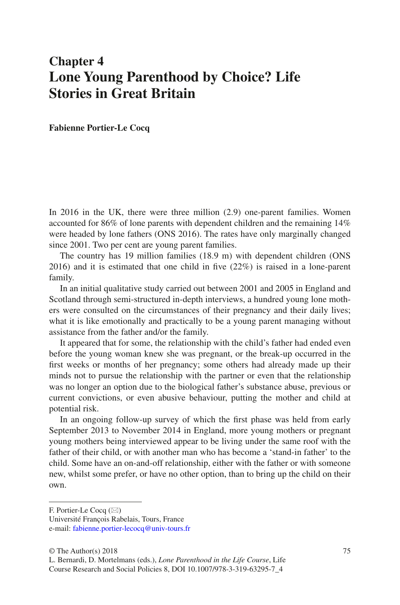# **Chapter 4 Lone Young Parenthood by Choice? Life Stories in Great Britain**

**Fabienne Portier-Le Cocq**

In 2016 in the UK, there were three million (2.9) one-parent families. Women accounted for 86% of lone parents with dependent children and the remaining 14% were headed by lone fathers (ONS 2016). The rates have only marginally changed since 2001. Two per cent are young parent families.

The country has 19 million families (18.9 m) with dependent children (ONS 2016) and it is estimated that one child in five (22%) is raised in a lone-parent family.

In an initial qualitative study carried out between 2001 and 2005 in England and Scotland through semi-structured in-depth interviews, a hundred young lone mothers were consulted on the circumstances of their pregnancy and their daily lives; what it is like emotionally and practically to be a young parent managing without assistance from the father and/or the family.

It appeared that for some, the relationship with the child's father had ended even before the young woman knew she was pregnant, or the break-up occurred in the first weeks or months of her pregnancy; some others had already made up their minds not to pursue the relationship with the partner or even that the relationship was no longer an option due to the biological father's substance abuse, previous or current convictions, or even abusive behaviour, putting the mother and child at potential risk.

In an ongoing follow-up survey of which the first phase was held from early September 2013 to November 2014 in England, more young mothers or pregnant young mothers being interviewed appear to be living under the same roof with the father of their child, or with another man who has become a 'stand-in father' to the child. Some have an on-and-off relationship, either with the father or with someone new, whilst some prefer, or have no other option, than to bring up the child on their own.

F. Portier-Le Cocq  $(\boxtimes)$ 

Université François Rabelais, Tours, France e-mail: [fabienne.portier-lecocq@univ-tours.fr](mailto:fabienne.portier-lecocq@univ-tours.fr)

L. Bernardi, D. Mortelmans (eds.), *Lone Parenthood in the Life Course*, Life Course Research and Social Policies 8, DOI 10.1007/978-3-319-63295-7\_4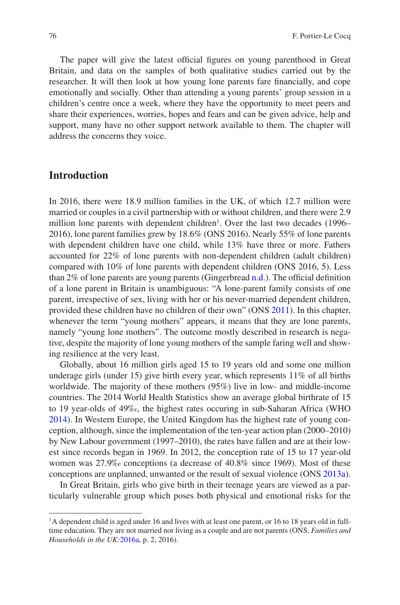The paper will give the latest official figures on young parenthood in Great Britain, and data on the samples of both qualitative studies carried out by the researcher. It will then look at how young lone parents fare financially, and cope emotionally and socially. Other than attending a young parents' group session in a children's centre once a week, where they have the opportunity to meet peers and share their experiences, worries, hopes and fears and can be given advice, help and support, many have no other support network available to them. The chapter will address the concerns they voice.

# **Introduction**

In 2016, there were 18.9 million families in the UK, of which 12.7 million were married or couples in a civil partnership with or without children, and there were 2.9 million lone parents with dependent children<sup>1</sup>. Over the last two decades (1996– 2016), lone parent families grew by 18.6% (ONS 2016). Nearly 55% of lone parents with dependent children have one child, while 13% have three or more. Fathers accounted for 22% of lone parents with non-dependent children (adult children) compared with 10% of lone parents with dependent children (ONS 2016, 5). Less than 2% of lone parents are young parents (Gingerbread [n.d.\)](#page-15-0). The official definition of a lone parent in Britain is unambiguous: "A lone-parent family consists of one parent, irrespective of sex, living with her or his never-married dependent children, provided these children have no children of their own" (ONS [2011](#page-16-0)). In this chapter, whenever the term "young mothers" appears, it means that they are lone parents, namely "young lone mothers". The outcome mostly described in research is negative, despite the majority of lone young mothers of the sample faring well and showing resilience at the very least.

Globally, about 16 million girls aged 15 to 19 years old and some one million underage girls (under 15) give birth every year, which represents  $11\%$  of all births worldwide. The majority of these mothers (95%) live in low- and middle-income countries. The 2014 World Health Statistics show an average global birthrate of 15 to 19 year-olds of 49‰, the highest rates occuring in sub-Saharan Africa (WHO [2014\)](#page-17-0). In Western Europe, the United Kingdom has the highest rate of young conception, although, since the implementation of the ten-year action plan (2000–2010) by New Labour government (1997–2010), the rates have fallen and are at their lowest since records began in 1969. In 2012, the conception rate of 15 to 17 year-old women was 27.9‰ conceptions (a decrease of 40.8% since 1969). Most of these conceptions are unplanned, unwanted or the result of sexual violence (ONS [2013a\)](#page-16-1).

In Great Britain, girls who give birth in their teenage years are viewed as a particularly vulnerable group which poses both physical and emotional risks for the

<span id="page-1-0"></span><sup>&</sup>lt;sup>1</sup>A dependent child is aged under 16 and lives with at least one parent, or 16 to 18 years old in fulltime education. They are not married nor living as a couple and are not parents (ONS, *Families and Households in the UK:*[2016a,](#page-16-2) p. 2, 2016).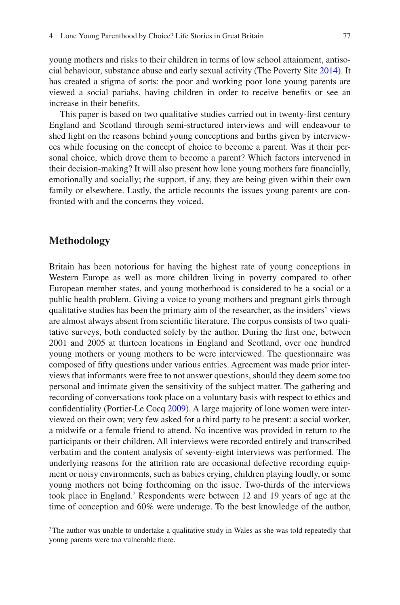young mothers and risks to their children in terms of low school attainment, antisocial behaviour, substance abuse and early sexual activity (The Poverty Site [2014](#page-17-1)). It has created a stigma of sorts: the poor and working poor lone young parents are viewed a social pariahs, having children in order to receive benefits or see an increase in their benefits.

This paper is based on two qualitative studies carried out in twenty-first century England and Scotland through semi-structured interviews and will endeavour to shed light on the reasons behind young conceptions and births given by interviewees while focusing on the concept of choice to become a parent. Was it their personal choice, which drove them to become a parent? Which factors intervened in their decision-making? It will also present how lone young mothers fare financially, emotionally and socially; the support, if any, they are being given within their own family or elsewhere. Lastly, the article recounts the issues young parents are confronted with and the concerns they voiced.

# **Methodology**

Britain has been notorious for having the highest rate of young conceptions in Western Europe as well as more children living in poverty compared to other European member states, and young motherhood is considered to be a social or a public health problem. Giving a voice to young mothers and pregnant girls through qualitative studies has been the primary aim of the researcher, as the insiders' views are almost always absent from scientific literature. The corpus consists of two qualitative surveys, both conducted solely by the author. During the first one, between 2001 and 2005 at thirteen locations in England and Scotland, over one hundred young mothers or young mothers to be were interviewed. The questionnaire was composed of fifty questions under various entries. Agreement was made prior interviews that informants were free to not answer questions, should they deem some too personal and intimate given the sensitivity of the subject matter. The gathering and recording of conversations took place on a voluntary basis with respect to ethics and confidentiality (Portier-Le Cocq [2009](#page-17-2)). A large majority of lone women were interviewed on their own; very few asked for a third party to be present: a social worker, a midwife or a female friend to attend. No incentive was provided in return to the participants or their children. All interviews were recorded entirely and transcribed verbatim and the content analysis of seventy-eight interviews was performed. The underlying reasons for the attrition rate are occasional defective recording equipment or noisy environments, such as babies crying, children playing loudly, or some young mothers not being forthcoming on the issue. Two-thirds of the interviews took place in England.<sup>2</sup> Respondents were between 12 and 19 years of age at the time of conception and 60% were underage. To the best knowledge of the author,

<span id="page-2-0"></span><sup>2</sup>The author was unable to undertake a qualitative study in Wales as she was told repeatedly that young parents were too vulnerable there.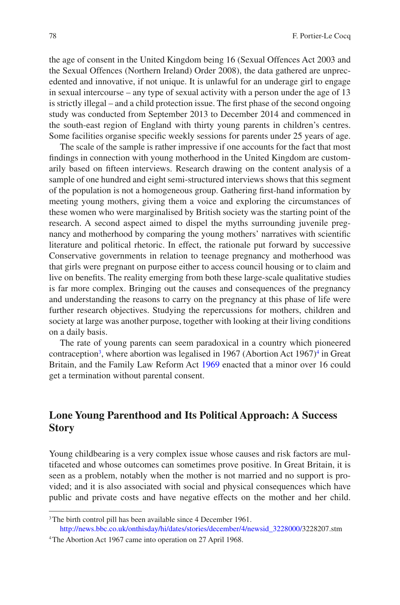the age of consent in the United Kingdom being 16 (Sexual Offences Act 2003 and the Sexual Offences (Northern Ireland) Order 2008), the data gathered are unprecedented and innovative, if not unique. It is unlawful for an underage girl to engage in sexual intercourse – any type of sexual activity with a person under the age of 13 is strictly illegal – and a child protection issue. The first phase of the second ongoing study was conducted from September 2013 to December 2014 and commenced in the south-east region of England with thirty young parents in children's centres. Some facilities organise specific weekly sessions for parents under 25 years of age.

The scale of the sample is rather impressive if one accounts for the fact that most findings in connection with young motherhood in the United Kingdom are customarily based on fifteen interviews. Research drawing on the content analysis of a sample of one hundred and eight semi-structured interviews shows that this segment of the population is not a homogeneous group. Gathering first-hand information by meeting young mothers, giving them a voice and exploring the circumstances of these women who were marginalised by British society was the starting point of the research. A second aspect aimed to dispel the myths surrounding juvenile pregnancy and motherhood by comparing the young mothers' narratives with scientific literature and political rhetoric. In effect, the rationale put forward by successive Conservative governments in relation to teenage pregnancy and motherhood was that girls were pregnant on purpose either to access council housing or to claim and live on benefits. The reality emerging from both these large-scale qualitative studies is far more complex. Bringing out the causes and consequences of the pregnancy and understanding the reasons to carry on the pregnancy at this phase of life were further research objectives. Studying the repercussions for mothers, children and society at large was another purpose, together with looking at their living conditions on a daily basis.

The rate of young parents can seem paradoxical in a country which pioneered contraception<sup>3</sup>, where abortion was legalised in 1967 (Abortion Act 1967)<sup>[4](#page-3-1)</sup> in Great Britain, and the Family Law Reform Act [1969](#page-15-1) enacted that a minor over 16 could get a termination without parental consent.

# **Lone Young Parenthood and Its Political Approach: A Success Story**

Young childbearing is a very complex issue whose causes and risk factors are multifaceted and whose outcomes can sometimes prove positive. In Great Britain, it is seen as a problem, notably when the mother is not married and no support is provided; and it is also associated with social and physical consequences which have public and private costs and have negative effects on the mother and her child.

<span id="page-3-0"></span><sup>&</sup>lt;sup>3</sup>The birth control pill has been available since 4 December 1961.

[http://news.bbc.co.uk/onthisday/hi/dates/stories/december/4/newsid\\_3228000/3](http://news.bbc.co.uk/onthisday/hi/dates/stories/december/4/newsid_3228000/)228207.stm

<span id="page-3-1"></span><sup>4</sup>The Abortion Act 1967 came into operation on 27 April 1968.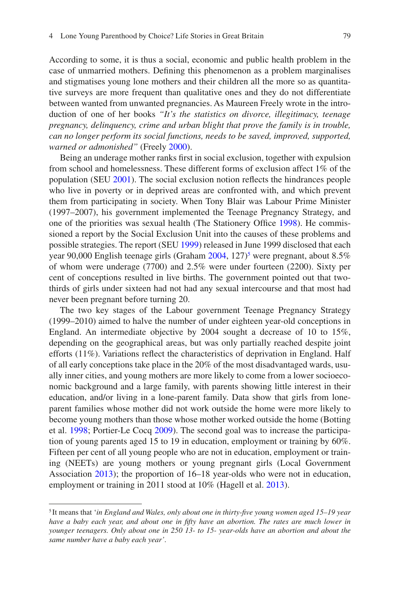According to some, it is thus a social, economic and public health problem in the case of unmarried mothers. Defining this phenomenon as a problem marginalises and stigmatises young lone mothers and their children all the more so as quantitative surveys are more frequent than qualitative ones and they do not differentiate between wanted from unwanted pregnancies. As Maureen Freely wrote in the introduction of one of her books *"It's the statistics on divorce, illegitimacy, teenage pregnancy, delinquency, crime and urban blight that prove the family is in trouble, can no longer perform its social functions, needs to be saved, improved, supported, warned or admonished"* (Freely [2000\)](#page-15-2).

Being an underage mother ranks first in social exclusion, together with expulsion from school and homelessness. These different forms of exclusion affect 1% of the population (SEU [2001](#page-17-3)). The social exclusion notion reflects the hindrances people who live in poverty or in deprived areas are confronted with, and which prevent them from participating in society. When Tony Blair was Labour Prime Minister (1997–2007), his government implemented the Teenage Pregnancy Strategy, and one of the priorities was sexual health (The Stationery Office [1998\)](#page-17-4). He commissioned a report by the Social Exclusion Unit into the causes of these problems and possible strategies. The report (SEU [1999](#page-17-5)) released in June 1999 disclosed that each year 90,000 English teenage girls (Graham [2004,](#page-16-3) 127)<sup>5</sup> were pregnant, about 8.5% of whom were underage (7700) and 2.5% were under fourteen (2200). Sixty per cent of conceptions resulted in live births. The government pointed out that twothirds of girls under sixteen had not had any sexual intercourse and that most had never been pregnant before turning 20.

The two key stages of the Labour government Teenage Pregnancy Strategy (1999–2010) aimed to halve the number of under eighteen year-old conceptions in England. An intermediate objective by 2004 sought a decrease of 10 to 15%, depending on the geographical areas, but was only partially reached despite joint efforts (11%). Variations reflect the characteristics of deprivation in England. Half of all early conceptions take place in the 20% of the most disadvantaged wards, usually inner cities, and young mothers are more likely to come from a lower socioeconomic background and a large family, with parents showing little interest in their education, and/or living in a lone-parent family. Data show that girls from loneparent families whose mother did not work outside the home were more likely to become young mothers than those whose mother worked outside the home (Botting et al. [1998;](#page-15-3) Portier-Le Cocq [2009\)](#page-17-2). The second goal was to increase the participation of young parents aged 15 to 19 in education, employment or training by 60%. Fifteen per cent of all young people who are not in education, employment or training (NEETs) are young mothers or young pregnant girls (Local Government Association [2013](#page-16-4)); the proportion of 16–18 year-olds who were not in education, employment or training in 2011 stood at 10% (Hagell et al. [2013\)](#page-16-5).

<span id="page-4-0"></span><sup>5</sup> It means that '*in England and Wales, only about one in thirty-five young women aged 15–19 year have a baby each year, and about one in fifty have an abortion. The rates are much lower in younger teenagers. Only about one in 250 13- to 15- year-olds have an abortion and about the same number have a baby each year'*.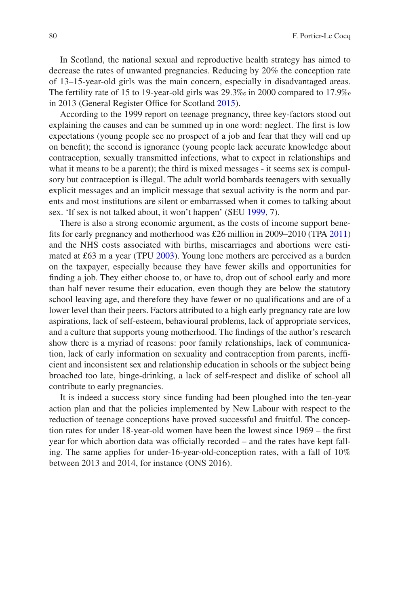In Scotland, the national sexual and reproductive health strategy has aimed to decrease the rates of unwanted pregnancies. Reducing by 20% the conception rate of 13–15-year-old girls was the main concern, especially in disadvantaged areas. The fertility rate of 15 to 19-year-old girls was 29.3‰ in 2000 compared to 17.9‰ in 2013 (General Register Office for Scotland [2015\)](#page-16-6).

According to the 1999 report on teenage pregnancy, three key-factors stood out explaining the causes and can be summed up in one word: neglect. The first is low expectations (young people see no prospect of a job and fear that they will end up on benefit); the second is ignorance (young people lack accurate knowledge about contraception, sexually transmitted infections, what to expect in relationships and what it means to be a parent); the third is mixed messages - it seems sex is compulsory but contraception is illegal. The adult world bombards teenagers with sexually explicit messages and an implicit message that sexual activity is the norm and parents and most institutions are silent or embarrassed when it comes to talking about sex. 'If sex is not talked about, it won't happen' (SEU [1999,](#page-17-5) 7).

There is also a strong economic argument, as the costs of income support benefits for early pregnancy and motherhood was £26 million in 2009–2010 (TPA [2011](#page-17-6)) and the NHS costs associated with births, miscarriages and abortions were estimated at £63 m a year (TPU [2003\)](#page-17-7). Young lone mothers are perceived as a burden on the taxpayer, especially because they have fewer skills and opportunities for finding a job. They either choose to, or have to, drop out of school early and more than half never resume their education, even though they are below the statutory school leaving age, and therefore they have fewer or no qualifications and are of a lower level than their peers. Factors attributed to a high early pregnancy rate are low aspirations, lack of self-esteem, behavioural problems, lack of appropriate services, and a culture that supports young motherhood. The findings of the author's research show there is a myriad of reasons: poor family relationships, lack of communication, lack of early information on sexuality and contraception from parents, inefficient and inconsistent sex and relationship education in schools or the subject being broached too late, binge-drinking, a lack of self-respect and dislike of school all contribute to early pregnancies.

It is indeed a success story since funding had been ploughed into the ten-year action plan and that the policies implemented by New Labour with respect to the reduction of teenage conceptions have proved successful and fruitful. The conception rates for under 18-year-old women have been the lowest since 1969 – the first year for which abortion data was officially recorded – and the rates have kept falling. The same applies for under-16-year-old-conception rates, with a fall of 10% between 2013 and 2014, for instance (ONS 2016).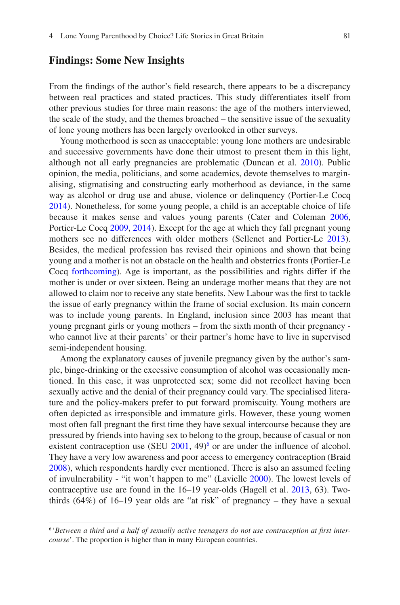# **Findings: Some New Insights**

From the findings of the author's field research, there appears to be a discrepancy between real practices and stated practices. This study differentiates itself from other previous studies for three main reasons: the age of the mothers interviewed, the scale of the study, and the themes broached – the sensitive issue of the sexuality of lone young mothers has been largely overlooked in other surveys.

Young motherhood is seen as unacceptable: young lone mothers are undesirable and successive governments have done their utmost to present them in this light, although not all early pregnancies are problematic (Duncan et al. [2010](#page-15-4)). Public opinion, the media, politicians, and some academics, devote themselves to marginalising, stigmatising and constructing early motherhood as deviance, in the same way as alcohol or drug use and abuse, violence or delinquency (Portier-Le Cocq [2014\)](#page-17-8). Nonetheless, for some young people, a child is an acceptable choice of life because it makes sense and values young parents (Cater and Coleman [2006,](#page-15-5) Portier-Le Cocq [2009](#page-17-2), [2014](#page-17-8)). Except for the age at which they fall pregnant young mothers see no differences with older mothers (Sellenet and Portier-Le [2013\)](#page-17-9). Besides, the medical profession has revised their opinions and shown that being young and a mother is not an obstacle on the health and obstetrics fronts (Portier-Le Cocq [forthcoming](#page-17-10)). Age is important, as the possibilities and rights differ if the mother is under or over sixteen. Being an underage mother means that they are not allowed to claim nor to receive any state benefits. New Labour was the first to tackle the issue of early pregnancy within the frame of social exclusion. Its main concern was to include young parents. In England, inclusion since 2003 has meant that young pregnant girls or young mothers – from the sixth month of their pregnancy who cannot live at their parents' or their partner's home have to live in supervised semi-independent housing.

Among the explanatory causes of juvenile pregnancy given by the author's sample, binge-drinking or the excessive consumption of alcohol was occasionally mentioned. In this case, it was unprotected sex; some did not recollect having been sexually active and the denial of their pregnancy could vary. The specialised literature and the policy-makers prefer to put forward promiscuity. Young mothers are often depicted as irresponsible and immature girls. However, these young women most often fall pregnant the first time they have sexual intercourse because they are pressured by friends into having sex to belong to the group, because of casual or non existent contraception use  $(SEU 2001, 49)^6$  $(SEU 2001, 49)^6$  $(SEU 2001, 49)^6$  or are under the influence of alcohol. They have a very low awareness and poor access to emergency contraception (Braid [2008\)](#page-15-6), which respondents hardly ever mentioned. There is also an assumed feeling of invulnerability - "it won't happen to me" (Lavielle [2000\)](#page-16-7). The lowest levels of contraceptive use are found in the 16–19 year-olds (Hagell et al. [2013](#page-16-5), 63). Twothirds (64%) of 16–19 year olds are "at risk" of pregnancy – they have a sexual

<span id="page-6-0"></span><sup>6</sup> '*Between a third and a half of sexually active teenagers do not use contraception at first intercourse*'. The proportion is higher than in many European countries.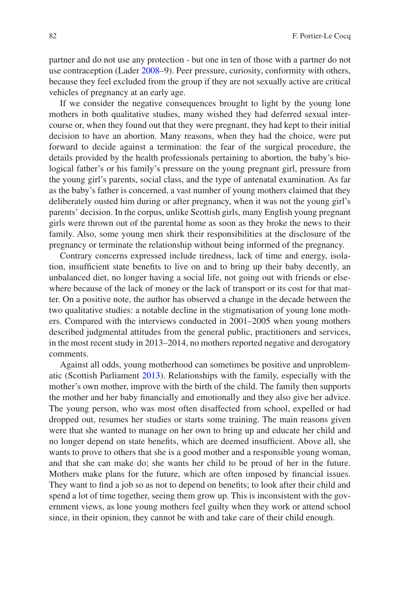partner and do not use any protection - but one in ten of those with a partner do not use contraception (Lader [2008–](#page-16-8)9). Peer pressure, curiosity, conformity with others, because they feel excluded from the group if they are not sexually active are critical vehicles of pregnancy at an early age.

If we consider the negative consequences brought to light by the young lone mothers in both qualitative studies, many wished they had deferred sexual intercourse or, when they found out that they were pregnant, they had kept to their initial decision to have an abortion. Many reasons, when they had the choice, were put forward to decide against a termination: the fear of the surgical procedure, the details provided by the health professionals pertaining to abortion, the baby's biological father's or his family's pressure on the young pregnant girl, pressure from the young girl's parents, social class, and the type of antenatal examination. As far as the baby's father is concerned, a vast number of young mothers claimed that they deliberately ousted him during or after pregnancy, when it was not the young girl's parents' decision. In the corpus, unlike Scottish girls, many English young pregnant girls were thrown out of the parental home as soon as they broke the news to their family. Also, some young men shirk their responsibilities at the disclosure of the pregnancy or terminate the relationship without being informed of the pregnancy.

Contrary concerns expressed include tiredness, lack of time and energy, isolation, insufficient state benefits to live on and to bring up their baby decently, an unbalanced diet, no longer having a social life, not going out with friends or elsewhere because of the lack of money or the lack of transport or its cost for that matter. On a positive note, the author has observed a change in the decade between the two qualitative studies: a notable decline in the stigmatisation of young lone mothers. Compared with the interviews conducted in 2001–2005 when young mothers described judgmental attitudes from the general public, practitioners and services, in the most recent study in 2013–2014, no mothers reported negative and derogatory comments.

Against all odds, young motherhood can sometimes be positive and unproblematic (Scottish Parliament [2013](#page-17-11)). Relationships with the family, especially with the mother's own mother, improve with the birth of the child. The family then supports the mother and her baby financially and emotionally and they also give her advice. The young person, who was most often disaffected from school, expelled or had dropped out, resumes her studies or starts some training. The main reasons given were that she wanted to manage on her own to bring up and educate her child and no longer depend on state benefits, which are deemed insufficient. Above all, she wants to prove to others that she is a good mother and a responsible young woman, and that she can make do; she wants her child to be proud of her in the future. Mothers make plans for the future, which are often imposed by financial issues. They want to find a job so as not to depend on benefits; to look after their child and spend a lot of time together, seeing them grow up. This is inconsistent with the government views, as lone young mothers feel guilty when they work or attend school since, in their opinion, they cannot be with and take care of their child enough.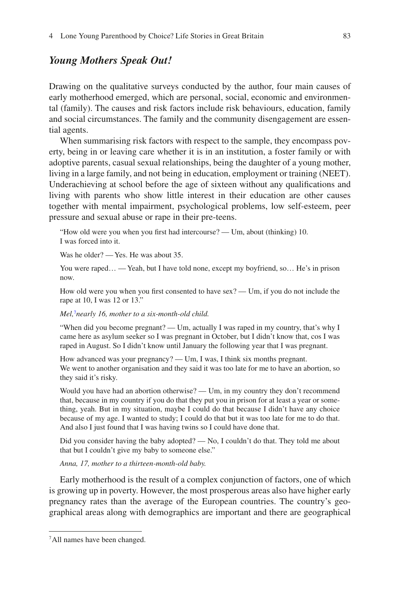# *Young Mothers Speak Out!*

Drawing on the qualitative surveys conducted by the author, four main causes of early motherhood emerged, which are personal, social, economic and environmental (family). The causes and risk factors include risk behaviours, education, family and social circumstances. The family and the community disengagement are essential agents.

When summarising risk factors with respect to the sample, they encompass poverty, being in or leaving care whether it is in an institution, a foster family or with adoptive parents, casual sexual relationships, being the daughter of a young mother, living in a large family, and not being in education, employment or training (NEET). Underachieving at school before the age of sixteen without any qualifications and living with parents who show little interest in their education are other causes together with mental impairment, psychological problems, low self-esteem, peer pressure and sexual abuse or rape in their pre-teens.

"How old were you when you first had intercourse? — Um, about (thinking) 10. I was forced into it.

Was he older? — Yes. He was about 35.

You were raped... — Yeah, but I have told none, except my boyfriend, so... He's in prison now.

How old were you when you first consented to have sex? — Um, if you do not include the rape at 10, I was 12 or 13."

*Mel,*[7](#page-8-0) *nearly 16, mother to a six-month-old child.*

"When did you become pregnant? — Um, actually I was raped in my country, that's why I came here as asylum seeker so I was pregnant in October, but I didn't know that, cos I was raped in August. So I didn't know until January the following year that I was pregnant.

How advanced was your pregnancy? — Um, I was, I think six months pregnant. We went to another organisation and they said it was too late for me to have an abortion, so they said it's risky.

Would you have had an abortion otherwise? — Um, in my country they don't recommend that, because in my country if you do that they put you in prison for at least a year or something, yeah. But in my situation, maybe I could do that because I didn't have any choice because of my age. I wanted to study; I could do that but it was too late for me to do that. And also I just found that I was having twins so I could have done that.

Did you consider having the baby adopted? — No, I couldn't do that. They told me about that but I couldn't give my baby to someone else."

*Anna, 17, mother to a thirteen-month-old baby.*

Early motherhood is the result of a complex conjunction of factors, one of which is growing up in poverty. However, the most prosperous areas also have higher early pregnancy rates than the average of the European countries. The country's geographical areas along with demographics are important and there are geographical

<span id="page-8-0"></span><sup>7</sup>All names have been changed.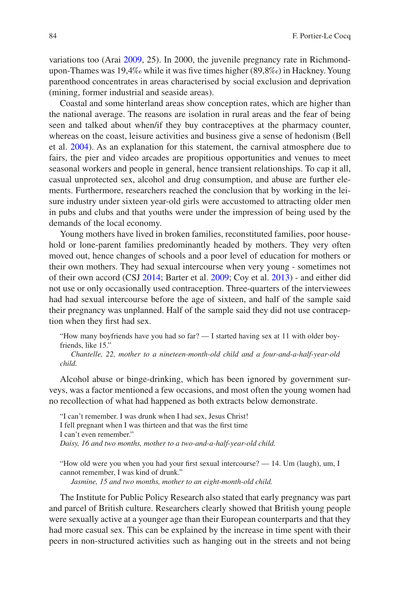variations too (Arai [2009,](#page-15-7) 25). In 2000, the juvenile pregnancy rate in Richmondupon-Thames was 19,4‰ while it was five times higher (89,8‰) in Hackney. Young parenthood concentrates in areas characterised by social exclusion and deprivation (mining, former industrial and seaside areas).

Coastal and some hinterland areas show conception rates, which are higher than the national average. The reasons are isolation in rural areas and the fear of being seen and talked about when/if they buy contraceptives at the pharmacy counter, whereas on the coast, leisure activities and business give a sense of hedonism (Bell et al. [2004](#page-15-8)). As an explanation for this statement, the carnival atmosphere due to fairs, the pier and video arcades are propitious opportunities and venues to meet seasonal workers and people in general, hence transient relationships. To cap it all, casual unprotected sex, alcohol and drug consumption, and abuse are further elements. Furthermore, researchers reached the conclusion that by working in the leisure industry under sixteen year-old girls were accustomed to attracting older men in pubs and clubs and that youths were under the impression of being used by the demands of the local economy.

Young mothers have lived in broken families, reconstituted families, poor household or lone-parent families predominantly headed by mothers. They very often moved out, hence changes of schools and a poor level of education for mothers or their own mothers. They had sexual intercourse when very young - sometimes not of their own accord (CSJ [2014;](#page-15-9) Barter et al. [2009;](#page-15-10) Coy et al. [2013](#page-15-11)) - and either did not use or only occasionally used contraception. Three-quarters of the interviewees had had sexual intercourse before the age of sixteen, and half of the sample said their pregnancy was unplanned. Half of the sample said they did not use contraception when they first had sex.

"How many boyfriends have you had so far? — I started having sex at 11 with older boyfriends, like 15."

*Chantelle, 22, mother to a nineteen-month-old child and a four-and-a-half-year-old child.*

Alcohol abuse or binge-drinking, which has been ignored by government surveys, was a factor mentioned a few occasions, and most often the young women had no recollection of what had happened as both extracts below demonstrate.

"I can't remember. I was drunk when I had sex, Jesus Christ! I fell pregnant when I was thirteen and that was the first time I can't even remember." *Daisy, 16 and two months, mother to a two-and-a-half-year-old child.*

"How old were you when you had your first sexual intercourse? — 14. Um (laugh), um, I cannot remember, I was kind of drunk." *Jasmine, 15 and two months, mother to an eight-month-old child.*

The Institute for Public Policy Research also stated that early pregnancy was part and parcel of British culture. Researchers clearly showed that British young people were sexually active at a younger age than their European counterparts and that they had more casual sex. This can be explained by the increase in time spent with their peers in non-structured activities such as hanging out in the streets and not being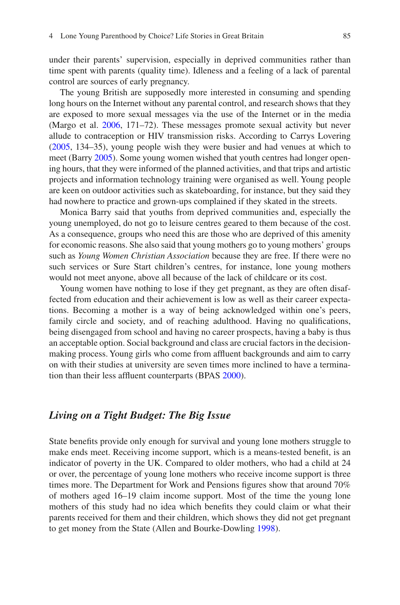under their parents' supervision, especially in deprived communities rather than time spent with parents (quality time). Idleness and a feeling of a lack of parental control are sources of early pregnancy.

The young British are supposedly more interested in consuming and spending long hours on the Internet without any parental control, and research shows that they are exposed to more sexual messages via the use of the Internet or in the media (Margo et al. [2006](#page-16-9), 171–72). These messages promote sexual activity but never allude to contraception or HIV transmission risks. According to Carrys Lovering [\(2005](#page-16-10), 134–35), young people wish they were busier and had venues at which to meet (Barry [2005\)](#page-15-12). Some young women wished that youth centres had longer opening hours, that they were informed of the planned activities, and that trips and artistic projects and information technology training were organised as well. Young people are keen on outdoor activities such as skateboarding, for instance, but they said they had nowhere to practice and grown-ups complained if they skated in the streets.

Monica Barry said that youths from deprived communities and, especially the young unemployed, do not go to leisure centres geared to them because of the cost. As a consequence, groups who need this are those who are deprived of this amenity for economic reasons. She also said that young mothers go to young mothers' groups such as *Young Women Christian Association* because they are free. If there were no such services or Sure Start children's centres, for instance, lone young mothers would not meet anyone, above all because of the lack of childcare or its cost.

Young women have nothing to lose if they get pregnant, as they are often disaffected from education and their achievement is low as well as their career expectations. Becoming a mother is a way of being acknowledged within one's peers, family circle and society, and of reaching adulthood. Having no qualifications, being disengaged from school and having no career prospects, having a baby is thus an acceptable option. Social background and class are crucial factors in the decisionmaking process. Young girls who come from affluent backgrounds and aim to carry on with their studies at university are seven times more inclined to have a termination than their less affluent counterparts (BPAS [2000\)](#page-15-13).

#### *Living on a Tight Budget: The Big Issue*

State benefits provide only enough for survival and young lone mothers struggle to make ends meet. Receiving income support, which is a means-tested benefit, is an indicator of poverty in the UK. Compared to older mothers, who had a child at 24 or over, the percentage of young lone mothers who receive income support is three times more. The Department for Work and Pensions figures show that around 70% of mothers aged 16–19 claim income support. Most of the time the young lone mothers of this study had no idea which benefits they could claim or what their parents received for them and their children, which shows they did not get pregnant to get money from the State (Allen and Bourke-Dowling [1998](#page-15-14)).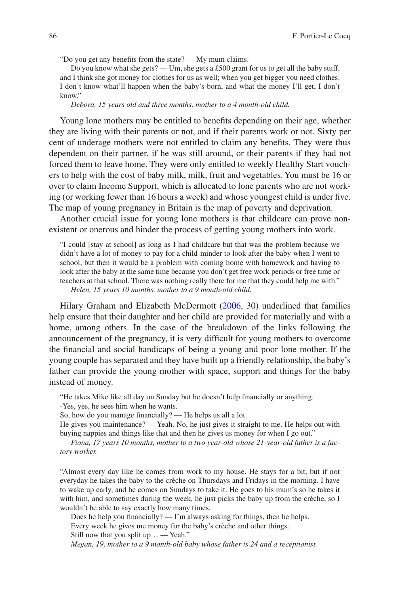"Do you get any benefits from the state? — My mum claims.

Do you know what she gets? — Um, she gets a £500 grant for us to get all the baby stuff, and I think she got money for clothes for us as well; when you get bigger you need clothes. I don't know what'll happen when the baby's born, and what the money I'll get, I don't know."

*Debora, 15 years old and three months, mother to a 4 month-old child.*

Young lone mothers may be entitled to benefits depending on their age, whether they are living with their parents or not, and if their parents work or not. Sixty per cent of underage mothers were not entitled to claim any benefits. They were thus dependent on their partner, if he was still around, or their parents if they had not forced them to leave home. They were only entitled to weekly Healthy Start vouchers to help with the cost of baby milk, milk, fruit and vegetables. You must be 16 or over to claim Income Support, which is allocated to lone parents who are not working (or working fewer than 16 hours a week) and whose youngest child is under five. The map of young pregnancy in Britain is the map of poverty and deprivation.

Another crucial issue for young lone mothers is that childcare can prove nonexistent or onerous and hinder the process of getting young mothers into work.

"I could [stay at school] as long as I had childcare but that was the problem because we didn't have a lot of money to pay for a child-minder to look after the baby when I went to school, but then it would be a problem with coming home with homework and having to look after the baby at the same time because you don't get free work periods or free time or teachers at that school. There was nothing really there for me that they could help me with."

*Helen, 15 years 10 months, mother to a 9 month-old child.*

Hilary Graham and Elizabeth McDermott ([2006,](#page-16-11) 30) underlined that families help ensure that their daughter and her child are provided for materially and with a home, among others. In the case of the breakdown of the links following the announcement of the pregnancy, it is very difficult for young mothers to overcome the financial and social handicaps of being a young and poor lone mother. If the young couple has separated and they have built up a friendly relationship, the baby's father can provide the young mother with space, support and things for the baby instead of money.

"He takes Mike like all day on Sunday but he doesn't help financially or anything.

-Yes, yes, he sees him when he wants.

So, how do you manage financially? — He helps us all a lot.

He gives you maintenance? — Yeah. No, he just gives it straight to me. He helps out with buying nappies and things like that and then he gives us money for when I go out."

*Fiona, 17 years 10 months, mother to a two year-old whose 21-year-old father is a factory worker.*

"Almost every day like he comes from work to my house. He stays for a bit, but if not everyday he takes the baby to the crèche on Thursdays and Fridays in the morning. I have to wake up early, and he comes on Sundays to take it. He goes to his mum's so he takes it with him, and sometimes during the week, he just picks the baby up from the crèche, so I wouldn't be able to say exactly how many times.

Does he help you financially? — I'm always asking for things, then he helps.

Every week he gives me money for the baby's crèche and other things.

Still now that you split up… — Yeah."

*Megan, 19, mother to a 9 month-old baby whose father is 24 and a receptionist.*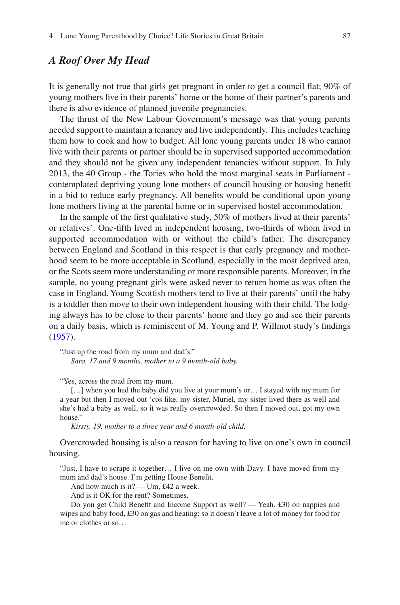# *A Roof Over My Head*

It is generally not true that girls get pregnant in order to get a council flat; 90% of young mothers live in their parents' home or the home of their partner's parents and there is also evidence of planned juvenile pregnancies.

The thrust of the New Labour Government's message was that young parents needed support to maintain a tenancy and live independently. This includes teaching them how to cook and how to budget. All lone young parents under 18 who cannot live with their parents or partner should be in supervised supported accommodation and they should not be given any independent tenancies without support. In July 2013, the 40 Group - the Tories who hold the most marginal seats in Parliament contemplated depriving young lone mothers of council housing or housing benefit in a bid to reduce early pregnancy. All benefits would be conditional upon young lone mothers living at the parental home or in supervised hostel accommodation.

In the sample of the first qualitative study, 50% of mothers lived at their parents' or relatives'. One-fifth lived in independent housing, two-thirds of whom lived in supported accommodation with or without the child's father. The discrepancy between England and Scotland in this respect is that early pregnancy and motherhood seem to be more acceptable in Scotland, especially in the most deprived area, or the Scots seem more understanding or more responsible parents. Moreover, in the sample, no young pregnant girls were asked never to return home as was often the case in England. Young Scottish mothers tend to live at their parents' until the baby is a toddler then move to their own independent housing with their child. The lodging always has to be close to their parents' home and they go and see their parents on a daily basis, which is reminiscent of M. Young and P. Willmot study's findings [\(1957](#page-17-12)).

"Just up the road from my mum and dad's." *Sara, 17 and 9 months, mother to a 9 month-old baby.*

"Yes, across the road from my mum.

[...] when you had the baby did you live at your mum's or... I stayed with my mum for a year but then I moved out 'cos like, my sister, Muriel, my sister lived there as well and she's had a baby as well, so it was really overcrowded. So then I moved out, got my own house."

*Kirsty, 19, mother to a three year and 6 month-old child.*

Overcrowded housing is also a reason for having to live on one's own in council housing.

"Just, I have to scrape it together… I live on me own with Davy. I have moved from my mum and dad's house. I'm getting House Benefit.

And how much is it? — Um, £42 a week.

And is it OK for the rent? Sometimes.

Do you get Child Benefit and Income Support as well? — Yeah. £30 on nappies and wipes and baby food, £30 on gas and heating; so it doesn't leave a lot of money for food for me or clothes or so…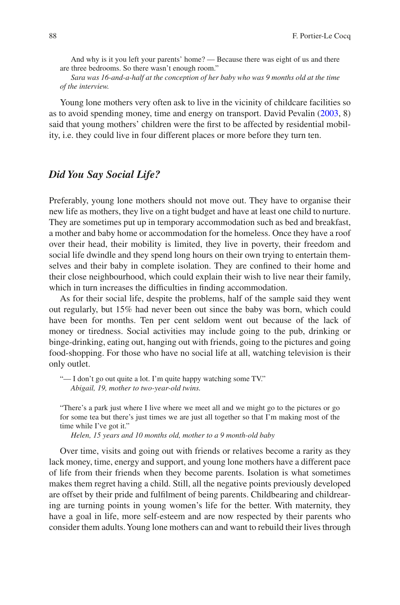And why is it you left your parents' home? — Because there was eight of us and there are three bedrooms. So there wasn't enough room."

*Sara was 16-and-a-half at the conception of her baby who was 9 months old at the time of the interview.*

Young lone mothers very often ask to live in the vicinity of childcare facilities so as to avoid spending money, time and energy on transport. David Pevalin [\(2003](#page-16-12), 8) said that young mothers' children were the first to be affected by residential mobility, i.e. they could live in four different places or more before they turn ten.

# *Did You Say Social Life?*

Preferably, young lone mothers should not move out. They have to organise their new life as mothers, they live on a tight budget and have at least one child to nurture. They are sometimes put up in temporary accommodation such as bed and breakfast, a mother and baby home or accommodation for the homeless. Once they have a roof over their head, their mobility is limited, they live in poverty, their freedom and social life dwindle and they spend long hours on their own trying to entertain themselves and their baby in complete isolation. They are confined to their home and their close neighbourhood, which could explain their wish to live near their family, which in turn increases the difficulties in finding accommodation.

As for their social life, despite the problems, half of the sample said they went out regularly, but 15% had never been out since the baby was born, which could have been for months. Ten per cent seldom went out because of the lack of money or tiredness. Social activities may include going to the pub, drinking or binge-drinking, eating out, hanging out with friends, going to the pictures and going food-shopping. For those who have no social life at all, watching television is their only outlet.

"-I don't go out quite a lot. I'm quite happy watching some TV." *Abigail, 19, mother to two-year-old twins.*

"There's a park just where I live where we meet all and we might go to the pictures or go for some tea but there's just times we are just all together so that I'm making most of the time while I've got it."

*Helen, 15 years and 10 months old, mother to a 9 month-old baby*

Over time, visits and going out with friends or relatives become a rarity as they lack money, time, energy and support, and young lone mothers have a different pace of life from their friends when they become parents. Isolation is what sometimes makes them regret having a child. Still, all the negative points previously developed are offset by their pride and fulfilment of being parents. Childbearing and childrearing are turning points in young women's life for the better. With maternity, they have a goal in life, more self-esteem and are now respected by their parents who consider them adults. Young lone mothers can and want to rebuild their lives through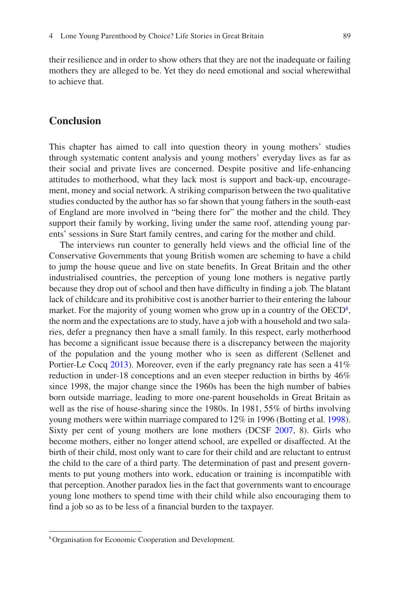their resilience and in order to show others that they are not the inadequate or failing mothers they are alleged to be. Yet they do need emotional and social wherewithal to achieve that.

# **Conclusion**

This chapter has aimed to call into question theory in young mothers' studies through systematic content analysis and young mothers' everyday lives as far as their social and private lives are concerned. Despite positive and life-enhancing attitudes to motherhood, what they lack most is support and back-up, encouragement, money and social network. A striking comparison between the two qualitative studies conducted by the author has so far shown that young fathers in the south-east of England are more involved in "being there for" the mother and the child. They support their family by working, living under the same roof, attending young parents' sessions in Sure Start family centres, and caring for the mother and child.

The interviews run counter to generally held views and the official line of the Conservative Governments that young British women are scheming to have a child to jump the house queue and live on state benefits. In Great Britain and the other industrialised countries, the perception of young lone mothers is negative partly because they drop out of school and then have difficulty in finding a job. The blatant lack of childcare and its prohibitive cost is another barrier to their entering the labour market. For the majority of young women who grow up in a country of the  $OECD<sup>8</sup>$ , the norm and the expectations are to study, have a job with a household and two salaries, defer a pregnancy then have a small family. In this respect, early motherhood has become a significant issue because there is a discrepancy between the majority of the population and the young mother who is seen as different (Sellenet and Portier-Le Cocq [2013](#page-17-9)). Moreover, even if the early pregnancy rate has seen a 41% reduction in under-18 conceptions and an even steeper reduction in births by 46% since 1998, the major change since the 1960s has been the high number of babies born outside marriage, leading to more one-parent households in Great Britain as well as the rise of house-sharing since the 1980s. In 1981, 55% of births involving young mothers were within marriage compared to 12% in 1996 (Botting et al. [1998\)](#page-15-3). Sixty per cent of young mothers are lone mothers (DCSF [2007](#page-15-15), 8). Girls who become mothers, either no longer attend school, are expelled or disaffected. At the birth of their child, most only want to care for their child and are reluctant to entrust the child to the care of a third party. The determination of past and present governments to put young mothers into work, education or training is incompatible with that perception. Another paradox lies in the fact that governments want to encourage young lone mothers to spend time with their child while also encouraging them to find a job so as to be less of a financial burden to the taxpayer.

<span id="page-14-0"></span><sup>8</sup>Organisation for Economic Cooperation and Development.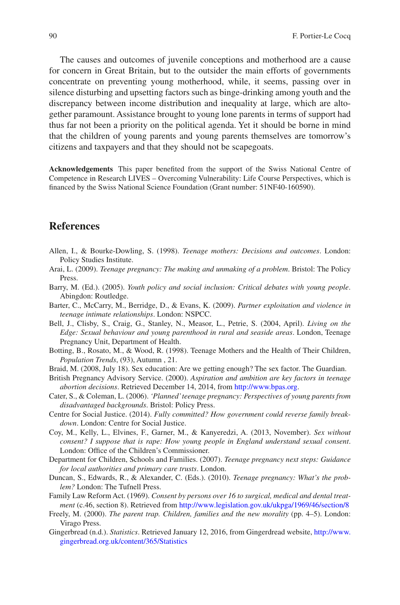The causes and outcomes of juvenile conceptions and motherhood are a cause for concern in Great Britain, but to the outsider the main efforts of governments concentrate on preventing young motherhood, while, it seems, passing over in silence disturbing and upsetting factors such as binge-drinking among youth and the discrepancy between income distribution and inequality at large, which are altogether paramount. Assistance brought to young lone parents in terms of support had thus far not been a priority on the political agenda. Yet it should be borne in mind that the children of young parents and young parents themselves are tomorrow's citizens and taxpayers and that they should not be scapegoats.

**Acknowledgements** This paper benefited from the support of the Swiss National Centre of Competence in Research LIVES – Overcoming Vulnerability: Life Course Perspectives, which is financed by the Swiss National Science Foundation (Grant number: 51NF40-160590).

# **References**

- <span id="page-15-14"></span>Allen, I., & Bourke-Dowling, S. (1998). *Teenage mothers: Decisions and outcomes*. London: Policy Studies Institute.
- <span id="page-15-7"></span>Arai, L. (2009). *Teenage pregnancy: The making and unmaking of a problem*. Bristol: The Policy Press.
- <span id="page-15-12"></span>Barry, M. (Ed.). (2005). *Youth policy and social inclusion: Critical debates with young people*. Abingdon: Routledge.
- <span id="page-15-10"></span>Barter, C., McCarry, M., Berridge, D., & Evans, K. (2009). *Partner exploitation and violence in teenage intimate relationships*. London: NSPCC.
- <span id="page-15-8"></span>Bell, J., Clisby, S., Craig, G., Stanley, N., Measor, L., Petrie, S. (2004, April). *Living on the Edge: Sexual behaviour and young parenthood in rural and seaside areas*. London, Teenage Pregnancy Unit, Department of Health.
- <span id="page-15-3"></span>Botting, B., Rosato, M., & Wood, R. (1998). Teenage Mothers and the Health of Their Children, *Population Trends*, (93), Autumn , 21.
- <span id="page-15-6"></span>Braid, M. (2008, July 18). Sex education: Are we getting enough? The sex factor. The Guardian.
- <span id="page-15-13"></span>British Pregnancy Advisory Service. (2000). *Aspiration and ambition are key factors in teenage abortion decisions*. Retrieved December 14, 2014, from [http://www.bpas.org.](http://www.bpas.org)
- <span id="page-15-5"></span>Cater, S., & Coleman, L. (2006). *'Planned' teenage pregnancy: Perspectives of young parents from disadvantaged backgrounds*. Bristol: Policy Press.
- <span id="page-15-9"></span>Centre for Social Justice. (2014). *Fully committed? How government could reverse family breakdown*. London: Centre for Social Justice.
- <span id="page-15-11"></span>Coy, M., Kelly, L., Elvines, F., Garner, M., & Kanyeredzi, A. (2013, November). *Sex without consent? I suppose that is rape: How young people in England understand sexual consent*. London: Office of the Children's Commissioner.
- <span id="page-15-15"></span>Department for Children, Schools and Families. (2007). *Teenage pregnancy next steps: Guidance for local authorities and primary care trusts*. London.
- <span id="page-15-4"></span>Duncan, S., Edwards, R., & Alexander, C. (Eds.). (2010). *Teenage pregnancy: What's the problem?* London: The Tufnell Press.
- <span id="page-15-1"></span>Family Law Reform Act. (1969). *Consent by persons over 16 to surgical, medical and dental treatment* (c.46, section 8). Retrieved from<http://www.legislation.gov.uk/ukpga/1969/46/section/8>
- <span id="page-15-2"></span>Freely, M. (2000). *The parent trap. Children, families and the new morality* (pp. 4–5). London: Virago Press.
- <span id="page-15-0"></span>Gingerbread (n.d.). *Statistics*. Retrieved January 12, 2016, from Gingerdread website, [http://www.](http://www.gingerbread.org.uk/content/365/Statistics) [gingerbread.org.uk/content/365/Statistics](http://www.gingerbread.org.uk/content/365/Statistics)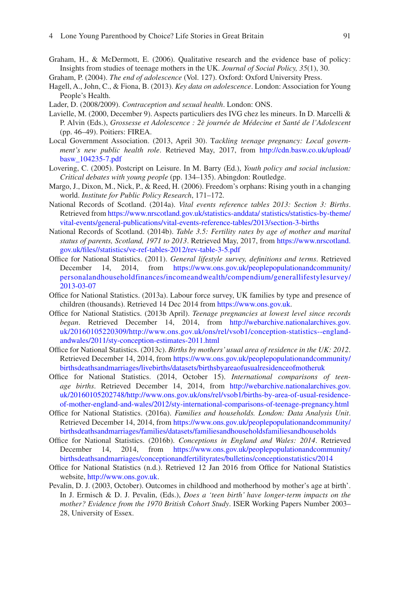- <span id="page-16-11"></span>Graham, H., & McDermott, E. (2006). Qualitative research and the evidence base of policy: Insights from studies of teenage mothers in the UK. *Journal of Social Policy, 35*(1), 30.
- <span id="page-16-3"></span>Graham, P. (2004). *The end of adolescence* (Vol. 127). Oxford: Oxford University Press.
- <span id="page-16-5"></span>Hagell, A., John, C., & Fiona, B. (2013). *Key data on adolescence*. London: Association for Young People's Health.
- <span id="page-16-8"></span>Lader, D. (2008/2009). *Contraception and sexual health*. London: ONS.
- <span id="page-16-7"></span>Lavielle, M. (2000, December 9). Aspects particuliers des IVG chez les mineurs. In D. Marcelli & P. Alvin (Eds.), *Grossesse et Adolescence : 2è journée de Médecine et Santé de l'Adolescent* (pp. 46–49). Poitiers: FIREA.
- <span id="page-16-4"></span>Local Government Association. (2013, April 30). T*ackling teenage pregnancy: Local government's new public health role*. Retrieved May, 2017, from [http://cdn.basw.co.uk/upload/](http://cdn.basw.co.uk/upload/basw_104235-7.pdf) [basw\\_104235-7.pdf](http://cdn.basw.co.uk/upload/basw_104235-7.pdf)
- <span id="page-16-10"></span>Lovering, C. (2005). Postcript on Leisure. In M. Barry (Ed.), *Youth policy and social inclusion: Critical debates with young people* (pp. 134–135). Abingdon: Routledge.
- <span id="page-16-9"></span>Margo, J., Dixon, M., Nick, P., & Reed, H. (2006). Freedom's orphans: Rising youth in a changing world. *Institute for Public Policy Research*, 171–172.
- National Records of Scotland. (2014a). *Vital events reference tables 2013: Section 3: Births*. Retrieved from [https://www.nrscotland.gov.uk/statistics-anddata/ statistics/statistics-by-theme/](https://www.nrscotland.gov.uk/statistics-anddata/ statistics/statistics-by-theme/vital-events/general-publications/vital-events-reference-tables/2013/section-3-births) [vital-events/general-publications/vital-events-reference-tables/2013/section-3-births](https://www.nrscotland.gov.uk/statistics-anddata/ statistics/statistics-by-theme/vital-events/general-publications/vital-events-reference-tables/2013/section-3-births)
- <span id="page-16-6"></span>National Records of Scotland. (2014b). *Table 3.5: Fertility rates by age of mother and marital status of parents, Scotland, 1971 to 2013*. Retrieved May, 2017, from [https://www.nrscotland.](https://www.nrscotland.gov.uk/files//statistics/ve-ref-tables-2012/rev-table-3-5.pdf) [gov.uk/files//statistics/ve-ref-tables-2012/rev-table-3-5.pdf](https://www.nrscotland.gov.uk/files//statistics/ve-ref-tables-2012/rev-table-3-5.pdf)
- <span id="page-16-0"></span>Office for National Statistics. (2011). *General lifestyle survey, definitions and terms*. Retrieved December 14, 2014, from [https://www.ons.gov.uk/peoplepopulationandcommunity/](https://www.ons.gov.uk/peoplepopulationandcommunity/personalandhouseholdfinances/incomeandwealth/compendium/generallifestylesurvey/2013-03-07)  [personalandhouseholdfinances/incomeandwealth/compendium/generallifestylesurvey/](https://www.ons.gov.uk/peoplepopulationandcommunity/personalandhouseholdfinances/incomeandwealth/compendium/generallifestylesurvey/2013-03-07) [2013-03-07](https://www.ons.gov.uk/peoplepopulationandcommunity/personalandhouseholdfinances/incomeandwealth/compendium/generallifestylesurvey/2013-03-07)
- <span id="page-16-1"></span>Office for National Statistics. (2013a). Labour force survey, UK families by type and presence of children (thousands). Retrieved 14 Dec 2014 from <https://www.ons.gov.uk>.
- Office for National Statistics. (2013b April). *Teenage pregnancies at lowest level since records began*. Retrieved December 14, 2014, from [http://webarchive.nationalarchives.gov.](http://webarchive.nationalarchives.gov.uk/20160105220309/http://www.ons.gov.uk/ons/rel/vsob1/conception-statistics--england-andwales/2011/sty-conception-estimates-2011.html) [uk/20160105220309/http://www.ons.gov.uk/ons/rel/vsob1/conception-statistics--england](http://webarchive.nationalarchives.gov.uk/20160105220309/http://www.ons.gov.uk/ons/rel/vsob1/conception-statistics--england-andwales/2011/sty-conception-estimates-2011.html)[andwales/2011/sty-conception-estimates-2011.html](http://webarchive.nationalarchives.gov.uk/20160105220309/http://www.ons.gov.uk/ons/rel/vsob1/conception-statistics--england-andwales/2011/sty-conception-estimates-2011.html)
- Office for National Statistics. (2013c). *Births by mothers' usual area of residence in the UK: 2012*. Retrieved December 14, 2014, from [https://www.ons.gov.uk/peoplepopulationandcommunity/](https://www.ons.gov.uk/peoplepopulationandcommunity/birthsdeathsandmarriages/livebirths/datasets/birthsbyareaofusualresidenceofmotheruk) [birthsdeathsandmarriages/livebirths/datasets/birthsbyareaofusualresidenceofmotheruk](https://www.ons.gov.uk/peoplepopulationandcommunity/birthsdeathsandmarriages/livebirths/datasets/birthsbyareaofusualresidenceofmotheruk)
- Office for National Statistics. (2014, October 15). *International comparisons of teenage births*. Retrieved December 14, 2014, from [http://webarchive.nationalarchives.gov.](http://webarchive.nationalarchives.gov.uk/20160105202748/http://www.ons.gov.uk/ons/rel/vsob1/births-by-area-of-usual-residence-of-mother--england-and-wales/2012/sty-international-comparisons-of-teenage-pregnancy.html) [uk/20160105202748/http://www.ons.gov.uk/ons/rel/vsob1/births-by-area-of-usual-residence](http://webarchive.nationalarchives.gov.uk/20160105202748/http://www.ons.gov.uk/ons/rel/vsob1/births-by-area-of-usual-residence-of-mother--england-and-wales/2012/sty-international-comparisons-of-teenage-pregnancy.html)[of-mother-england-and-wales/2012/sty-international-comparisons-of-teenage-pregnancy.html](http://webarchive.nationalarchives.gov.uk/20160105202748/http://www.ons.gov.uk/ons/rel/vsob1/births-by-area-of-usual-residence-of-mother--england-and-wales/2012/sty-international-comparisons-of-teenage-pregnancy.html)
- <span id="page-16-2"></span>Office for National Statistics. (2016a). *Families and households. London: Data Analysis Unit*. Retrieved December 14, 2014, from [https://www.ons.gov.uk/peoplepopulationandcommunity/](https://www.ons.gov.uk/peoplepopulationandcommunity/birthsdeathsandmarriages/families/datasets/familiesandhouseholdsfamiliesandhouseholds) [birthsdeathsandmarriages/families/datasets/familiesandhouseholdsfamiliesandhouseholds](https://www.ons.gov.uk/peoplepopulationandcommunity/birthsdeathsandmarriages/families/datasets/familiesandhouseholdsfamiliesandhouseholds)
- Office for National Statistics. (2016b). *Conceptions in England and Wales: 2014*. Retrieved December 14, 2014, from [https://www.ons.gov.uk/peoplepopulationandcommunity/](https://www.ons.gov.uk/peoplepopulationandcommunity/birthsdeathsandmarriages/conceptionandfertilityrates/bulletins/conceptionstatistics/2014) [birthsdeathsandmarriages/conceptionandfertilityrates/bulletins/conceptionstatistics/2014](https://www.ons.gov.uk/peoplepopulationandcommunity/birthsdeathsandmarriages/conceptionandfertilityrates/bulletins/conceptionstatistics/2014)
- Office for National Statistics (n.d.). Retrieved 12 Jan 2016 from Office for National Statistics website,<http://www.ons.gov.uk>.
- <span id="page-16-12"></span>Pevalin, D. J. (2003, October). Outcomes in childhood and motherhood by mother's age at birth'. In J. Ermisch & D. J. Pevalin, (Eds.), *Does a 'teen birth' have longer-term impacts on the mother? Evidence from the 1970 British Cohort Study*. ISER Working Papers Number 2003– 28, University of Essex.